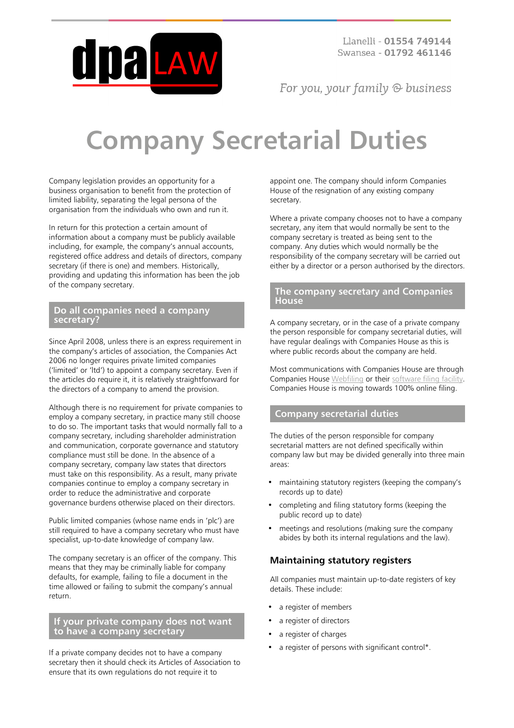

For you, your family  $\odot$  business

# **Company Secretarial Duties**

Company legislation provides an opportunity for a business organisation to benefit from the protection of limited liability, separating the legal persona of the organisation from the individuals who own and run it.

In return for this protection a certain amount of information about a company must be publicly available including, for example, the company's annual accounts, registered office address and details of directors, company secretary (if there is one) and members. Historically, providing and updating this information has been the job of the company secretary.

## **Do all companies need a company secretary?**

Since April 2008, unless there is an express requirement in the company's articles of association, the Companies Act 2006 no longer requires private limited companies ('limited' or 'ltd') to appoint a company secretary. Even if the articles do require it, it is relatively straightforward for the directors of a company to amend the provision.

Although there is no requirement for private companies to employ a company secretary, in practice many still choose to do so. The important tasks that would normally fall to a company secretary, including shareholder administration and communication, corporate governance and statutory compliance must still be done. In the absence of a company secretary, company law states that directors must take on this responsibility. As a result, many private companies continue to employ a company secretary in order to reduce the administrative and corporate governance burdens otherwise placed on their directors.

Public limited companies (whose name ends in 'plc') are still required to have a company secretary who must have specialist, up-to-date knowledge of company law.

The company secretary is an officer of the company. This means that they may be criminally liable for company defaults, for example, failing to file a document in the time allowed or failing to submit the company's annual return.

#### **If your private company does not want to have a company secretary**

If a private company decides not to have a company secretary then it should check its Articles of Association to ensure that its own regulations do not require it to

appoint one. The company should inform Companies House of the resignation of any existing company secretary.

Where a private company chooses not to have a company secretary, any item that would normally be sent to the company secretary is treated as being sent to the company. Any duties which would normally be the responsibility of the company secretary will be carried out either by a director or a person authorised by the directors.

## **The company secretary and Companies House**

A company secretary, or in the case of a private company the person responsible for company secretarial duties, will have regular dealings with Companies House as this is where public records about the company are held.

Most communications with Companies House are through Companies House [Webfiling](https://ewf.companieshouse.gov.uk//seclogin?tc=1) or their [software filing facility.](http://resources.companieshouse.gov.uk/toolsToHelp/efilingfaq.shtml) Companies House is moving towards 100% online filing.

## **Company secretarial duties**

The duties of the person responsible for company secretarial matters are not defined specifically within company law but may be divided generally into three main areas:

- maintaining statutory registers (keeping the company's records up to date)
- completing and filing statutory forms (keeping the public record up to date)
- meetings and resolutions (making sure the company abides by both its internal regulations and the law).

## **Maintaining statutory registers**

All companies must maintain up-to-date registers of key details. These include:

- a register of members
- a register of directors
- a register of charges
- a register of persons with significant control\*.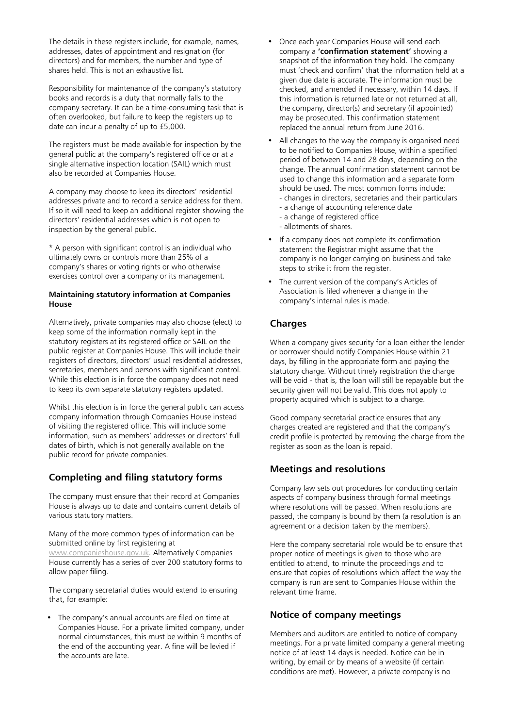The details in these registers include, for example, names, addresses, dates of appointment and resignation (for directors) and for members, the number and type of shares held. This is not an exhaustive list.

Responsibility for maintenance of the company's statutory books and records is a duty that normally falls to the company secretary. It can be a time-consuming task that is often overlooked, but failure to keep the registers up to date can incur a penalty of up to £5,000.

The registers must be made available for inspection by the general public at the company's registered office or at a single alternative inspection location (SAIL) which must also be recorded at Companies House.

A company may choose to keep its directors' residential addresses private and to record a service address for them. If so it will need to keep an additional register showing the directors' residential addresses which is not open to inspection by the general public.

\* A person with significant control is an individual who ultimately owns or controls more than 25% of a company's shares or voting rights or who otherwise exercises control over a company or its management.

#### **Maintaining statutory information at Companies House**

Alternatively, private companies may also choose (elect) to keep some of the information normally kept in the statutory registers at its registered office or SAIL on the public register at Companies House. This will include their registers of directors, directors' usual residential addresses, secretaries, members and persons with significant control. While this election is in force the company does not need to keep its own separate statutory registers updated.

Whilst this election is in force the general public can access company information through Companies House instead of visiting the registered office. This will include some information, such as members' addresses or directors' full dates of birth, which is not generally available on the public record for private companies.

# **Completing and filing statutory forms**

The company must ensure that their record at Companies House is always up to date and contains current details of various statutory matters.

Many of the more common types of information can be submitted online by first registering at [www.companieshouse.gov.uk](http://www.companieshouse.gov.uk/). Alternatively Companies House currently has a series of over 200 statutory forms to allow paper filing.

The company secretarial duties would extend to ensuring that, for example:

• The company's annual accounts are filed on time at Companies House. For a private limited company, under normal circumstances, this must be within 9 months of the end of the accounting year. A fine will be levied if the accounts are late.

- Once each year Companies House will send each company a **'confirmation statement'** showing a snapshot of the information they hold. The company must 'check and confirm' that the information held at a given due date is accurate. The information must be checked, and amended if necessary, within 14 days. If this information is returned late or not returned at all, the company, director(s) and secretary (if appointed) may be prosecuted. This confirmation statement replaced the annual return from June 2016.
- All changes to the way the company is organised need to be notified to Companies House, within a specified period of between 14 and 28 days, depending on the change. The annual confirmation statement cannot be used to change this information and a separate form should be used. The most common forms include:
	- changes in directors, secretaries and their particulars
	- a change of accounting reference date
	- a change of registered office
	- allotments of shares.
- If a company does not complete its confirmation statement the Registrar might assume that the company is no longer carrying on business and take steps to strike it from the register.
- The current version of the company's Articles of Association is filed whenever a change in the company's internal rules is made.

## **Charges**

When a company gives security for a loan either the lender or borrower should notify Companies House within 21 days, by filling in the appropriate form and paying the statutory charge. Without timely registration the charge will be void - that is, the loan will still be repayable but the security given will not be valid. This does not apply to property acquired which is subject to a charge.

Good company secretarial practice ensures that any charges created are registered and that the company's credit profile is protected by removing the charge from the register as soon as the loan is repaid.

## **Meetings and resolutions**

Company law sets out procedures for conducting certain aspects of company business through formal meetings where resolutions will be passed. When resolutions are passed, the company is bound by them (a resolution is an agreement or a decision taken by the members).

Here the company secretarial role would be to ensure that proper notice of meetings is given to those who are entitled to attend, to minute the proceedings and to ensure that copies of resolutions which affect the way the company is run are sent to Companies House within the relevant time frame.

# **Notice of company meetings**

Members and auditors are entitled to notice of company meetings. For a private limited company a general meeting notice of at least 14 days is needed. Notice can be in writing, by email or by means of a website (if certain conditions are met). However, a private company is no